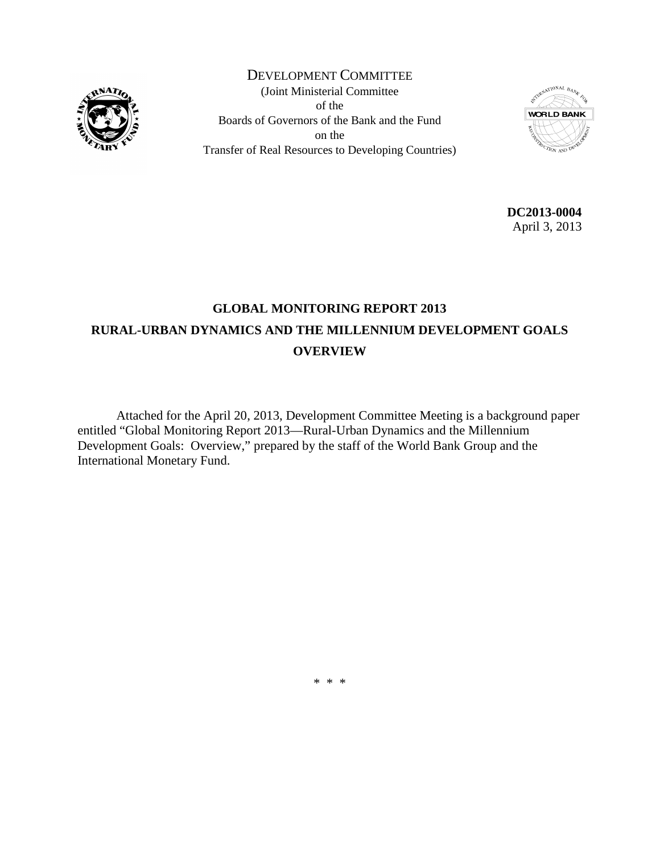

DEVELOPMENT COMMITTEE (Joint Ministerial Committee of the Boards of Governors of the Bank and the Fund on the Transfer of Real Resources to Developing Countries)



**DC2013-0004** April 3, 2013

## **GLOBAL MONITORING REPORT 2013 RURAL-URBAN DYNAMICS AND THE MILLENNIUM DEVELOPMENT GOALS OVERVIEW**

Attached for the April 20, 2013, Development Committee Meeting is a background paper entitled "Global Monitoring Report 2013—Rural-Urban Dynamics and the Millennium Development Goals: Overview," prepared by the staff of the World Bank Group and the International Monetary Fund.

\* \* \*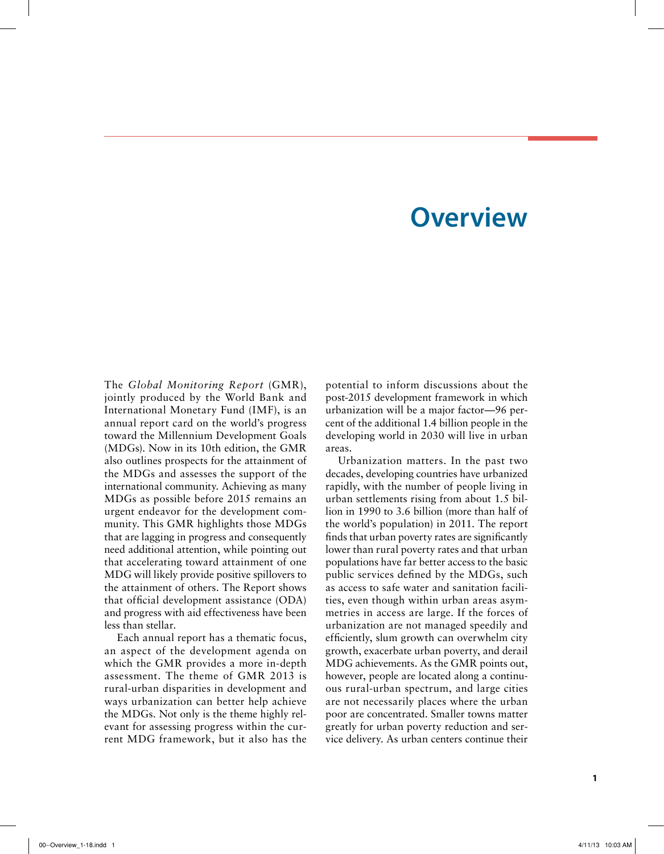# **Overview**

The *Global Monitoring Report* (GMR), jointly produced by the World Bank and International Monetary Fund (IMF), is an annual report card on the world's progress toward the Millennium Development Goals (MDGs). Now in its 10th edition, the GMR also outlines prospects for the attainment of the MDGs and assesses the support of the international community. Achieving as many MDGs as possible before 2015 remains an urgent endeavor for the development community. This GMR highlights those MDGs that are lagging in progress and consequently need additional attention, while pointing out that accelerating toward attainment of one MDG will likely provide positive spillovers to the attainment of others. The Report shows that official development assistance (ODA) and progress with aid effectiveness have been less than stellar.

Each annual report has a thematic focus, an aspect of the development agenda on which the GMR provides a more in-depth assessment. The theme of GMR 2013 is rural-urban disparities in development and ways urbanization can better help achieve the MDGs. Not only is the theme highly relevant for assessing progress within the current MDG framework, but it also has the potential to inform discussions about the post-2015 development framework in which urbanization will be a major factor—96 percent of the additional 1.4 billion people in the developing world in 2030 will live in urban areas.

Urbanization matters. In the past two decades, developing countries have urbanized rapidly, with the number of people living in urban settlements rising from about 1.5 billion in 1990 to 3.6 billion (more than half of the world's population) in 2011. The report finds that urban poverty rates are significantly lower than rural poverty rates and that urban populations have far better access to the basic public services defined by the MDGs, such as access to safe water and sanitation facilities, even though within urban areas asymmetries in access are large. If the forces of urbanization are not managed speedily and efficiently, slum growth can overwhelm city growth, exacerbate urban poverty, and derail MDG achievements. As the GMR points out, however, people are located along a continuous rural-urban spectrum, and large cities are not necessarily places where the urban poor are concentrated. Smaller towns matter greatly for urban poverty reduction and service delivery. As urban centers continue their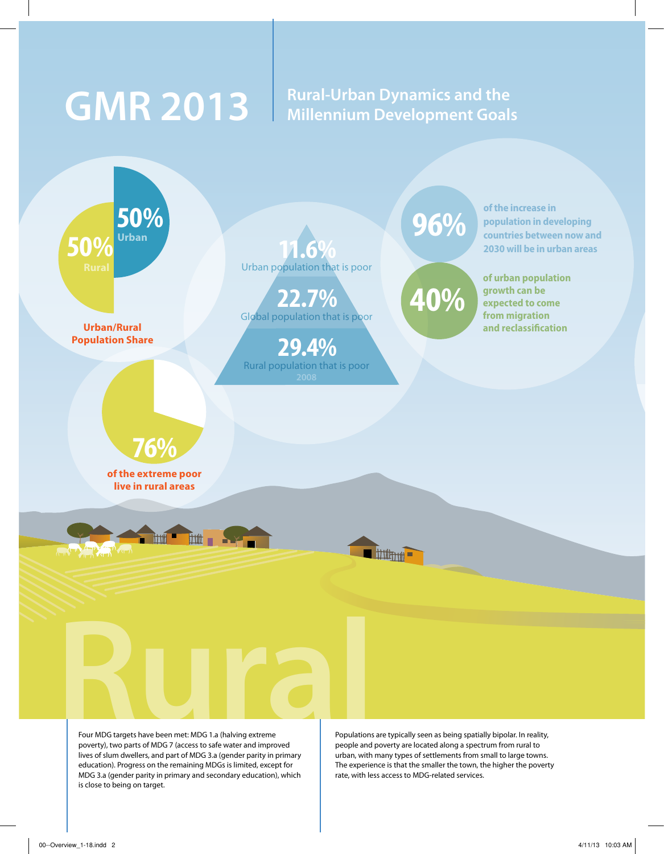# GMR 2013 | Rural-Urban Dynamics and the **GMR 2013** | Millennium Development Goals **Millennium Development Goals**



Four MDG targets have been met: MDG 1.a (halving extreme poverty), two parts of MDG 7 (access to safe water and improved lives of slum dwellers, and part of MDG 3.a (gender parity in primary education). Progress on the remaining MDGs is limited, except for MDG 3.a (gender parity in primary and secondary education), which is close to being on target.

Populations are typically seen as being spatially bipolar. In reality, people and poverty are located along a spectrum from rural to urban, with many types of settlements from small to large towns. The experience is that the smaller the town, the higher the poverty rate, with less access to MDG-related services.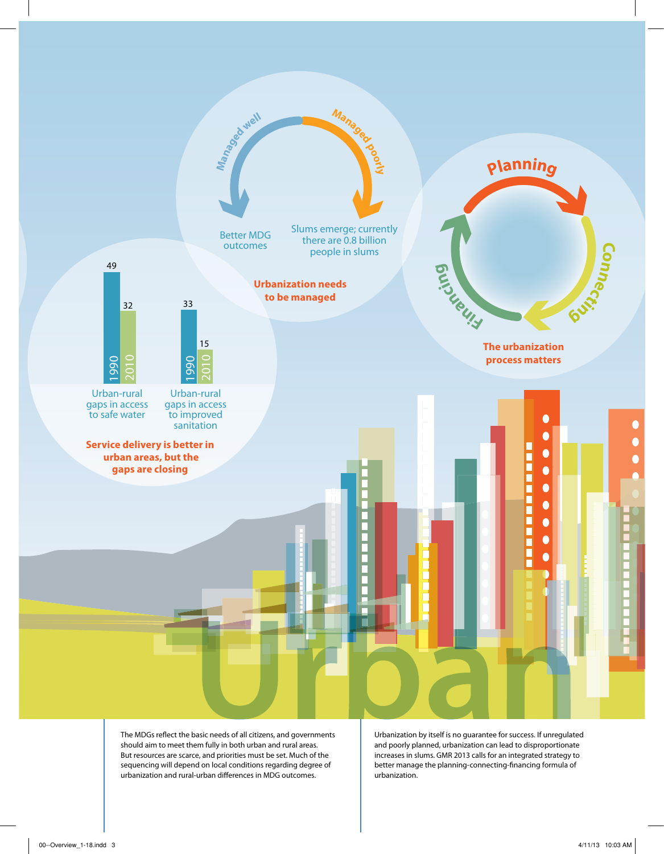

The MDGs reflect the basic needs of all citizens, and governments should aim to meet them fully in both urban and rural areas. But resources are scarce, and priorities must be set. Much of the sequencing will depend on local conditions regarding degree of urbanization and rural-urban differences in MDG outcomes.

Urbanization by itself is no guarantee for success. If unregulated and poorly planned, urbanization can lead to disproportionate increases in slums. GMR 2013 calls for an integrated strategy to better manage the planning-connecting-financing formula of urbanization.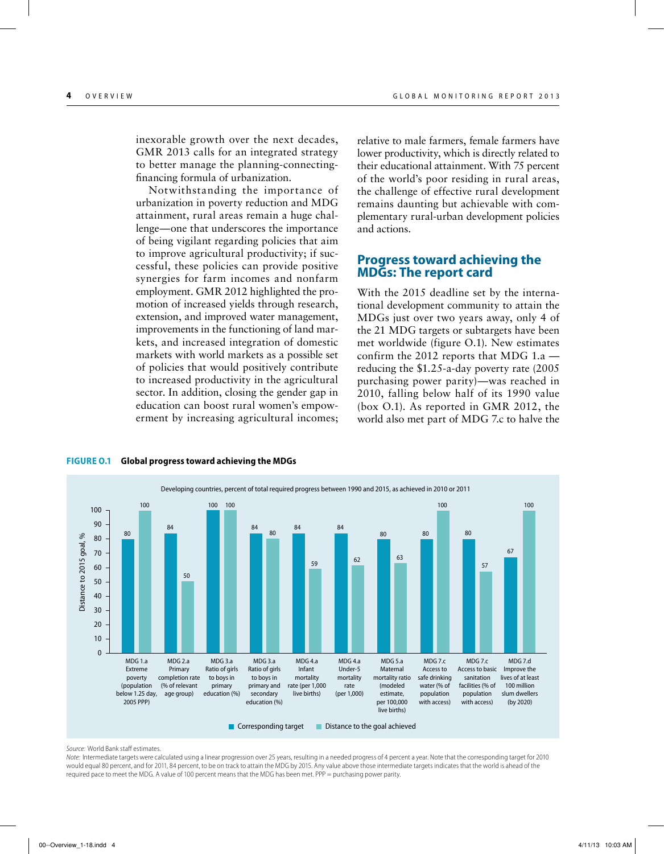inexorable growth over the next decades, GMR 2013 calls for an integrated strategy to better manage the planning-connectingfinancing formula of urbanization.

Notwithstanding the importance of urbanization in poverty reduction and MDG attainment, rural areas remain a huge challenge—one that underscores the importance of being vigilant regarding policies that aim to improve agricultural productivity; if successful, these policies can provide positive synergies for farm incomes and nonfarm employment. GMR 2012 highlighted the promotion of increased yields through research, extension, and improved water management, improvements in the functioning of land markets, and increased integration of domestic markets with world markets as a possible set of policies that would positively contribute to increased productivity in the agricultural sector. In addition, closing the gender gap in education can boost rural women's empowerment by increasing agricultural incomes;

relative to male farmers, female farmers have lower productivity, which is directly related to their educational attainment. With 75 percent of the world's poor residing in rural areas, the challenge of effective rural development remains daunting but achievable with complementary rural-urban development policies and actions.

#### **Progress toward achieving the MDGs: The report card**

With the 2015 deadline set by the international development community to attain the MDGs just over two years away, only 4 of the 21 MDG targets or subtargets have been met worldwide (figure O.1). New estimates confirm the 2012 reports that MDG 1.a reducing the \$1.25-a-day poverty rate (2005 purchasing power parity)—was reached in 2010, falling below half of its 1990 value (box O.1). As reported in GMR 2012, the world also met part of MDG 7.c to halve the



#### **Figure O.1 Global progress toward achieving the MDGs**

*Source:* World Bank staff estimates.

*Note:* Intermediate targets were calculated using a linear progression over 25 years, resulting in a needed progress of 4 percent a year. Note that the corresponding target for 2010 would equal 80 percent, and for 2011, 84 percent, to be on track to attain the MDG by 2015. Any value above those intermediate targets indicates that the world is ahead of the required pace to meet the MDG. A value of 100 percent means that the MDG has been met. PPP = purchasing power parity.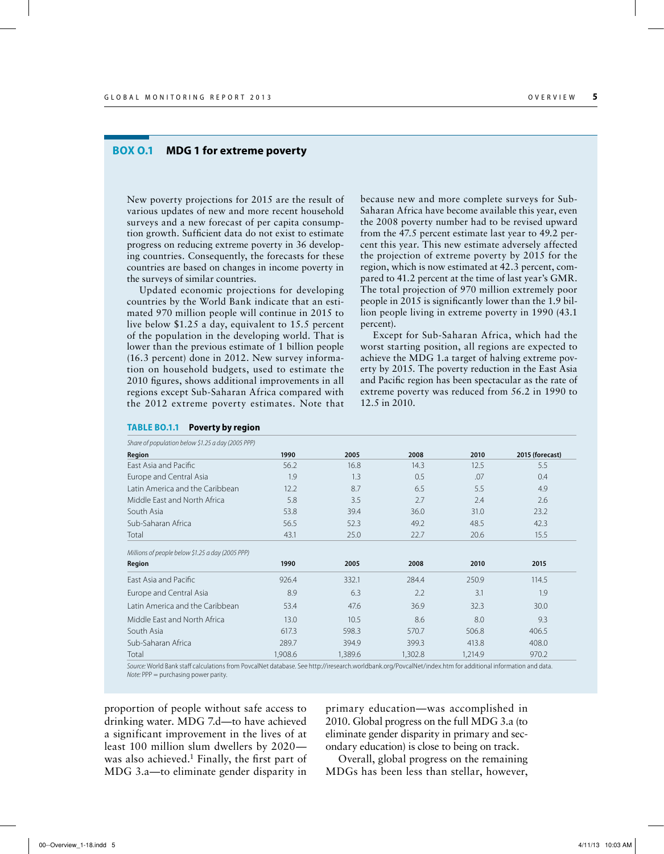#### **Box O.1 MDG 1 for extreme poverty**

New poverty projections for 2015 are the result of various updates of new and more recent household surveys and a new forecast of per capita consumption growth. Sufficient data do not exist to estimate progress on reducing extreme poverty in 36 developing countries. Consequently, the forecasts for these countries are based on changes in income poverty in the surveys of similar countries.

Updated economic projections for developing countries by the World Bank indicate that an estimated 970 million people will continue in 2015 to live below \$1.25 a day, equivalent to 15.5 percent of the population in the developing world. That is lower than the previous estimate of 1 billion people (16.3 percent) done in 2012. New survey information on household budgets, used to estimate the 2010 figures, shows additional improvements in all regions except Sub-Saharan Africa compared with the 2012 extreme poverty estimates. Note that

because new and more complete surveys for Sub-Saharan Africa have become available this year, even the 2008 poverty number had to be revised upward from the 47.5 percent estimate last year to 49.2 percent this year. This new estimate adversely affected the projection of extreme poverty by 2015 for the region, which is now estimated at 42.3 percent, compared to 41.2 percent at the time of last year's GMR. The total projection of 970 million extremely poor people in 2015 is significantly lower than the 1.9 billion people living in extreme poverty in 1990 (43.1 percent).

Except for Sub-Saharan Africa, which had the worst starting position, all regions are expected to achieve the MDG 1.a target of halving extreme poverty by 2015. The poverty reduction in the East Asia and Pacific region has been spectacular as the rate of extreme poverty was reduced from 56.2 in 1990 to 12.5 in 2010.

| Share of population below \$1.25 a day (2005 PPP) |         |         |         |         |                 |  |  |  |  |  |  |
|---------------------------------------------------|---------|---------|---------|---------|-----------------|--|--|--|--|--|--|
| Region                                            | 1990    | 2005    | 2008    | 2010    | 2015 (forecast) |  |  |  |  |  |  |
| <b>Fast Asia and Pacific</b>                      | 56.2    | 16.8    | 14.3    | 12.5    | 5.5             |  |  |  |  |  |  |
| Europe and Central Asia                           | 1.9     | 1.3     | 0.5     | .07     | 0.4             |  |  |  |  |  |  |
| Latin America and the Caribbean                   | 12.2    | 8.7     | 6.5     | 5.5     | 4.9             |  |  |  |  |  |  |
| Middle Fast and North Africa                      | 5.8     | 3.5     | 2.7     | 2.4     | 2.6             |  |  |  |  |  |  |
| South Asia                                        | 53.8    | 39.4    | 36.0    | 31.0    | 23.2            |  |  |  |  |  |  |
| Sub-Saharan Africa                                | 56.5    | 52.3    | 49.2    | 48.5    | 42.3            |  |  |  |  |  |  |
| Total                                             | 43.1    | 25.0    | 22.7    | 20.6    | 15.5            |  |  |  |  |  |  |
| Millions of people below \$1.25 a day (2005 PPP)  |         |         |         |         |                 |  |  |  |  |  |  |
| Region                                            | 1990    | 2005    | 2008    | 2010    | 2015            |  |  |  |  |  |  |
| East Asia and Pacific                             | 926.4   | 332.1   | 284.4   | 250.9   | 114.5           |  |  |  |  |  |  |
| Europe and Central Asia                           | 8.9     | 6.3     | 2.2     | 3.1     | 1.9             |  |  |  |  |  |  |
| Latin America and the Caribbean                   | 53.4    | 47.6    | 36.9    | 32.3    | 30.0            |  |  |  |  |  |  |
| Middle Fast and North Africa                      | 13.0    | 10.5    | 8.6     | 8.0     | 9.3             |  |  |  |  |  |  |
| South Asia                                        | 617.3   | 598.3   | 570.7   | 506.8   | 406.5           |  |  |  |  |  |  |
| Sub-Saharan Africa                                | 289.7   | 394.9   | 399.3   | 413.8   | 408.0           |  |  |  |  |  |  |
| Total                                             | 1,908.6 | 1,389.6 | 1,302.8 | 1,214.9 | 970.2           |  |  |  |  |  |  |

*Source:* World Bank staff calculations from PovcalNet database. See http://iresearch.worldbank.org/PovcalNet/index.htm for additional information and data. *Note:* PPP = purchasing power parity.

proportion of people without safe access to drinking water. MDG 7.d—to have achieved a significant improvement in the lives of at least 100 million slum dwellers by 2020 was also achieved.<sup>1</sup> Finally, the first part of MDG 3.a—to eliminate gender disparity in primary education—was accomplished in 2010. Global progress on the full MDG 3.a (to eliminate gender disparity in primary and secondary education) is close to being on track.

Overall, global progress on the remaining MDGs has been less than stellar, however,

#### **Table BO.1.1 Poverty by region**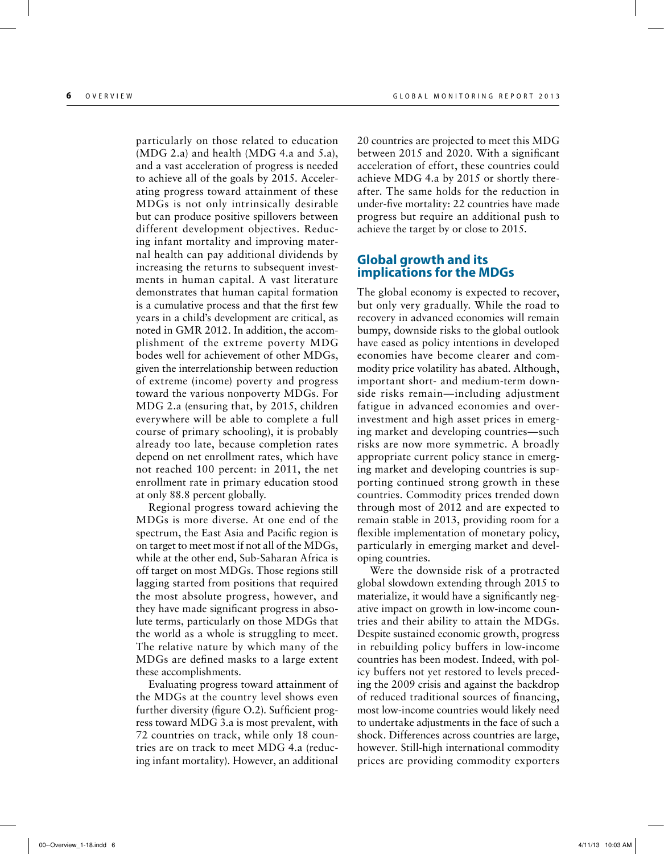particularly on those related to education  $(MDG 2.a)$  and health  $(MDG 4.a$  and 5.a), and a vast acceleration of progress is needed to achieve all of the goals by 2015. Accelerating progress toward attainment of these MDGs is not only intrinsically desirable but can produce positive spillovers between different development objectives. Reducing infant mortality and improving maternal health can pay additional dividends by increasing the returns to subsequent investments in human capital. A vast literature demonstrates that human capital formation is a cumulative process and that the first few years in a child's development are critical, as noted in GMR 2012. In addition, the accomplishment of the extreme poverty MDG bodes well for achievement of other MDGs, given the interrelationship between reduction of extreme (income) poverty and progress toward the various nonpoverty MDGs. For MDG 2.a (ensuring that, by 2015, children everywhere will be able to complete a full course of primary schooling), it is probably already too late, because completion rates depend on net enrollment rates, which have not reached 100 percent: in 2011, the net enrollment rate in primary education stood at only 88.8 percent globally.

Regional progress toward achieving the MDGs is more diverse. At one end of the spectrum, the East Asia and Pacific region is on target to meet most if not all of the MDGs, while at the other end, Sub-Saharan Africa is off target on most MDGs. Those regions still lagging started from positions that required the most absolute progress, however, and they have made significant progress in absolute terms, particularly on those MDGs that the world as a whole is struggling to meet. The relative nature by which many of the MDGs are defined masks to a large extent these accomplishments.

Evaluating progress toward attainment of the MDGs at the country level shows even further diversity (figure O.2). Sufficient progress toward MDG 3.a is most prevalent, with 72 countries on track, while only 18 countries are on track to meet MDG 4.a (reducing infant mortality). However, an additional

20 countries are projected to meet this MDG between 2015 and 2020. With a significant acceleration of effort, these countries could achieve MDG 4.a by 2015 or shortly thereafter. The same holds for the reduction in under-five mortality: 22 countries have made progress but require an additional push to achieve the target by or close to 2015.

#### **Global growth and its implications for the MDGs**

The global economy is expected to recover, but only very gradually. While the road to recovery in advanced economies will remain bumpy, downside risks to the global outlook have eased as policy intentions in developed economies have become clearer and commodity price volatility has abated. Although, important short- and medium-term downside risks remain—including adjustment fatigue in advanced economies and overinvestment and high asset prices in emerging market and developing countries—such risks are now more symmetric. A broadly appropriate current policy stance in emerging market and developing countries is supporting continued strong growth in these countries. Commodity prices trended down through most of 2012 and are expected to remain stable in 2013, providing room for a flexible implementation of monetary policy, particularly in emerging market and developing countries.

Were the downside risk of a protracted global slowdown extending through 2015 to materialize, it would have a significantly negative impact on growth in low-income countries and their ability to attain the MDGs. Despite sustained economic growth, progress in rebuilding policy buffers in low-income countries has been modest. Indeed, with policy buffers not yet restored to levels preceding the 2009 crisis and against the backdrop of reduced traditional sources of financing, most low-income countries would likely need to undertake adjustments in the face of such a shock. Differences across countries are large, however. Still-high international commodity prices are providing commodity exporters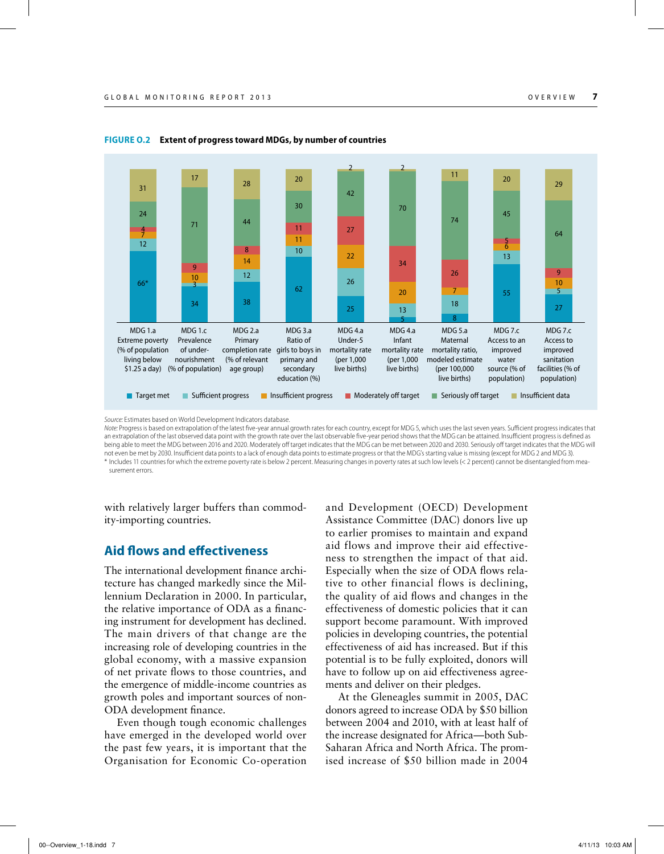

MDG 4.a Infant mortality rate (per 1,000 live births)

13

MDG 5.a Maternal mortality ratio, modeled estimate (per 100,000 live births)

5 8

MDG 7.c Access to an improved water source (% of population)

#### **Figure O.2 Extent of progress toward MDGs, by number of countries**

MDG 2.a Primary

(% of relevant age group)

completion rate girls to boys in

MDG 3.a Ratio of primary and secondary education (%)

*Source:* Estimates based on World Development Indicators database. *Note:* Progress is based on extrapolation of the latest five-year annual growth rates for each country, except for MDG 5, which uses the last seven years. Sufficient progress indicates that an extrapolation of the last observed data point with the growth rate over the last observable five-year period shows that the MDG can be attained. Insufficient progress is defined as being able to meet the MDG between 2016 and 2020. Moderately off target indicates that the MDG can be met between 2020 and 2030. Seriously off target indicates that the MDG will not even be met by 2030. Insufficient data points to a lack of enough data points to estimate progress or that the MDG's starting value is missing (except for MDG 2 and MDG 3). \* Includes 11 countries for which the extreme poverty rate is below 2 percent. Measuring changes in poverty rates at such low levels (< 2 percent) cannot be disentangled from mea-

**Tharget met Insufficient progress Insufficient progress In Moderately off target Insurget Insufficient data** 

MDG 4.a Under-5 mortality rate (per 1,000 live births)

25

surement errors.

MDG 1.a Extreme poverty (% of population living below \$1.25 a day)

66\*

12

7

4

24

31

with relatively larger buffers than commodity-importing countries.

MDG 1.c Prevalence of undernourishment (% of population)

### **Aid flows and effectiveness**

The international development finance architecture has changed markedly since the Millennium Declaration in 2000. In particular, the relative importance of ODA as a financing instrument for development has declined. The main drivers of that change are the increasing role of developing countries in the global economy, with a massive expansion of net private flows to those countries, and the emergence of middle-income countries as growth poles and important sources of non-ODA development finance.

Even though tough economic challenges have emerged in the developed world over the past few years, it is important that the Organisation for Economic Co-operation and Development (OECD) Development Assistance Committee (DAC) donors live up to earlier promises to maintain and expand aid flows and improve their aid effectiveness to strengthen the impact of that aid. Especially when the size of ODA flows relative to other financial flows is declining, the quality of aid flows and changes in the effectiveness of domestic policies that it can support become paramount. With improved policies in developing countries, the potential effectiveness of aid has increased. But if this potential is to be fully exploited, donors will have to follow up on aid effectiveness agreements and deliver on their pledges.

At the Gleneagles summit in 2005, DAC donors agreed to increase ODA by \$50 billion between 2004 and 2010, with at least half of the increase designated for Africa—both Sub-Saharan Africa and North Africa. The promised increase of \$50 billion made in 2004

MDG 7.c Access to improved sanitation facilities (% of population)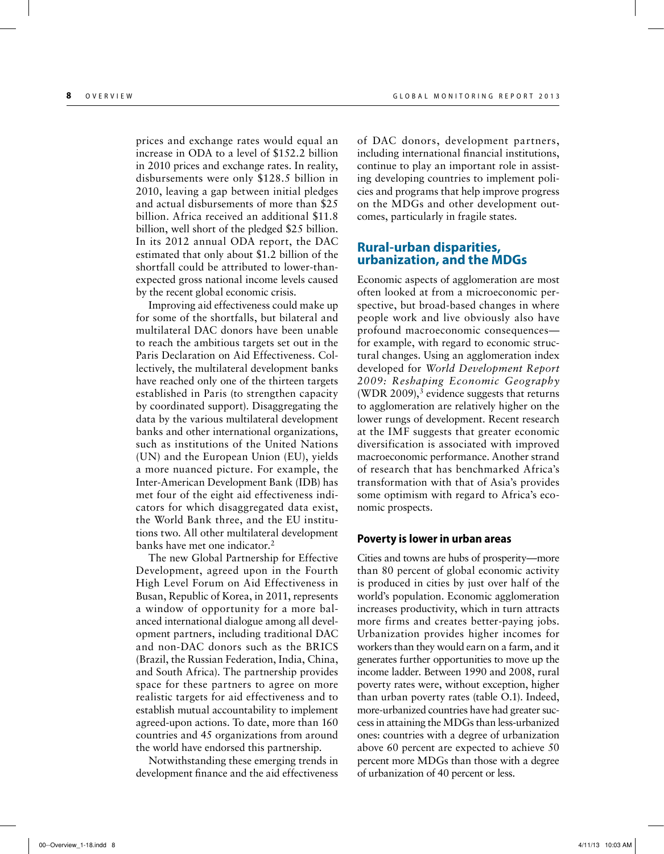prices and exchange rates would equal an increase in ODA to a level of \$152.2 billion in 2010 prices and exchange rates. In reality, disbursements were only \$128.5 billion in 2010, leaving a gap between initial pledges and actual disbursements of more than \$25 billion. Africa received an additional \$11.8 billion, well short of the pledged \$25 billion. In its 2012 annual ODA report, the DAC estimated that only about \$1.2 billion of the shortfall could be attributed to lower-thanexpected gross national income levels caused by the recent global economic crisis.

Improving aid effectiveness could make up for some of the shortfalls, but bilateral and multilateral DAC donors have been unable to reach the ambitious targets set out in the Paris Declaration on Aid Effectiveness. Collectively, the multilateral development banks have reached only one of the thirteen targets established in Paris (to strengthen capacity by coordinated support). Disaggregating the data by the various multilateral development banks and other international organizations, such as institutions of the United Nations (UN) and the European Union (EU), yields a more nuanced picture. For example, the Inter-American Development Bank (IDB) has met four of the eight aid effectiveness indicators for which disaggregated data exist, the World Bank three, and the EU institutions two. All other multilateral development banks have met one indicator.<sup>2</sup>

The new Global Partnership for Effective Development, agreed upon in the Fourth High Level Forum on Aid Effectiveness in Busan, Republic of Korea, in 2011, represents a window of opportunity for a more balanced international dialogue among all development partners, including traditional DAC and non-DAC donors such as the BRICS (Brazil, the Russian Federation, India, China, and South Africa). The partnership provides space for these partners to agree on more realistic targets for aid effectiveness and to establish mutual accountability to implement agreed-upon actions. To date, more than 160 countries and 45 organizations from around the world have endorsed this partnership.

Notwithstanding these emerging trends in development finance and the aid effectiveness of DAC donors, development partners, including international financial institutions, continue to play an important role in assisting developing countries to implement policies and programs that help improve progress on the MDGs and other development outcomes, particularly in fragile states.

#### **Rural-urban disparities, urbanization, and the MDGs**

Economic aspects of agglomeration are most often looked at from a microeconomic perspective, but broad-based changes in where people work and live obviously also have profound macroeconomic consequences for example, with regard to economic structural changes. Using an agglomeration index developed for *World Development Report 2009: Reshaping Economic Geography*  (WDR 2009), $3$  evidence suggests that returns to agglomeration are relatively higher on the lower rungs of development. Recent research at the IMF suggests that greater economic diversification is associated with improved macroeconomic performance. Another strand of research that has benchmarked Africa's transformation with that of Asia's provides some optimism with regard to Africa's economic prospects.

#### **Poverty is lower in urban areas**

Cities and towns are hubs of prosperity—more than 80 percent of global economic activity is produced in cities by just over half of the world's population. Economic agglomeration increases productivity, which in turn attracts more firms and creates better-paying jobs. Urbanization provides higher incomes for workers than they would earn on a farm, and it generates further opportunities to move up the income ladder. Between 1990 and 2008, rural poverty rates were, without exception, higher than urban poverty rates (table O.1). Indeed, more-urbanized countries have had greater success in attaining the MDGs than less-urbanized ones: countries with a degree of urbanization above 60 percent are expected to achieve 50 percent more MDGs than those with a degree of urbanization of 40 percent or less.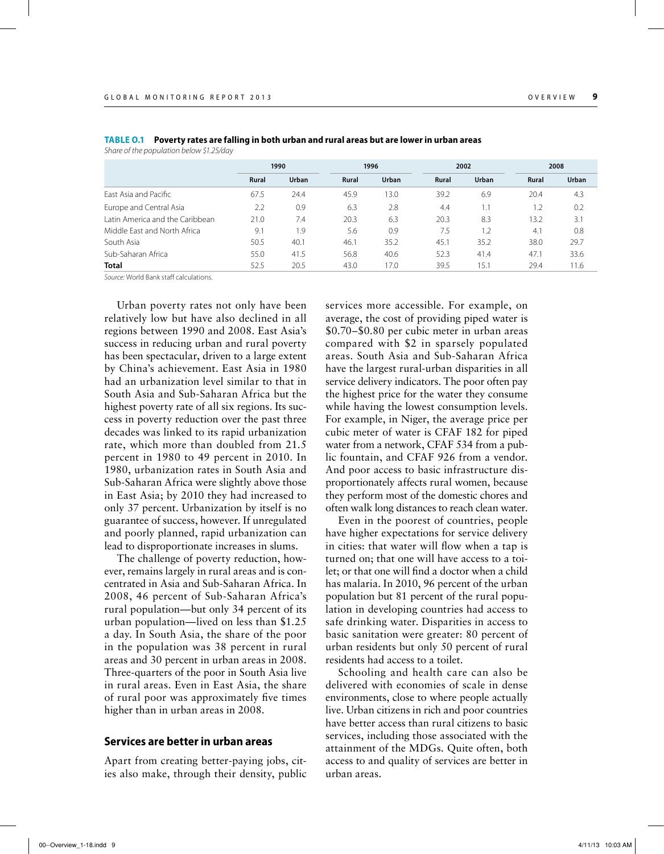|                                 | 1990         |       |              | 1996  |       | 2002  |              | 2008  |  |
|---------------------------------|--------------|-------|--------------|-------|-------|-------|--------------|-------|--|
|                                 | <b>Rural</b> | Urban | <b>Rural</b> | Urban | Rural | Urban | <b>Rural</b> | Urban |  |
| East Asia and Pacific           | 67.5         | 24.4  | 45.9         | 13.0  | 39.2  | 6.9   | 20.4         | 4.3   |  |
| Europe and Central Asia         | 2.2          | 0.9   | 6.3          | 2.8   | 4.4   | 1.1   | 1.2          | 0.2   |  |
| Latin America and the Caribbean | 21.0         | 7.4   | 20.3         | 6.3   | 20.3  | 8.3   | 13.2         | 3.1   |  |
| Middle Fast and North Africa    | 9.1          | . 9   | 5.6          | 0.9   | 7.5   | 1.2   | 4.1          | 0.8   |  |
| South Asia                      | 50.5         | 40.1  | 46.1         | 35.2  | 45.1  | 35.2  | 38.0         | 29.7  |  |
| Sub-Saharan Africa              | 55.0         | 41.5  | 56.8         | 40.6  | 52.3  | 41.4  | 47.1         | 33.6  |  |
| <b>Total</b>                    | 52.5         | 20.5  | 43.0         | 17.0  | 39.5  | 15.1  | 29.4         | 11.6  |  |

**Table O.1 Poverty rates are falling in both urban and rural areas but are lower in urban areas** *Share of the population below \$1.25/day*

*Source:* World Bank staff calculations.

Urban poverty rates not only have been relatively low but have also declined in all regions between 1990 and 2008. East Asia's success in reducing urban and rural poverty has been spectacular, driven to a large extent by China's achievement. East Asia in 1980 had an urbanization level similar to that in South Asia and Sub-Saharan Africa but the highest poverty rate of all six regions. Its success in poverty reduction over the past three decades was linked to its rapid urbanization rate, which more than doubled from 21.5 percent in 1980 to 49 percent in 2010. In 1980, urbanization rates in South Asia and Sub-Saharan Africa were slightly above those in East Asia; by 2010 they had increased to only 37 percent. Urbanization by itself is no guarantee of success, however. If unregulated and poorly planned, rapid urbanization can lead to disproportionate increases in slums.

The challenge of poverty reduction, however, remains largely in rural areas and is concentrated in Asia and Sub-Saharan Africa. In 2008, 46 percent of Sub-Saharan Africa's rural population—but only 34 percent of its urban population—lived on less than \$1.25 a day. In South Asia, the share of the poor in the population was 38 percent in rural areas and 30 percent in urban areas in 2008. Three-quarters of the poor in South Asia live in rural areas. Even in East Asia, the share of rural poor was approximately five times higher than in urban areas in 2008.

#### **Services are better in urban areas**

Apart from creating better-paying jobs, cities also make, through their density, public services more accessible. For example, on average, the cost of providing piped water is \$0.70–\$0.80 per cubic meter in urban areas compared with \$2 in sparsely populated areas. South Asia and Sub-Saharan Africa have the largest rural-urban disparities in all service delivery indicators. The poor often pay the highest price for the water they consume while having the lowest consumption levels. For example, in Niger, the average price per cubic meter of water is CFAF 182 for piped water from a network, CFAF 534 from a public fountain, and CFAF 926 from a vendor. And poor access to basic infrastructure disproportionately affects rural women, because they perform most of the domestic chores and often walk long distances to reach clean water.

Even in the poorest of countries, people have higher expectations for service delivery in cities: that water will flow when a tap is turned on; that one will have access to a toilet; or that one will find a doctor when a child has malaria. In 2010, 96 percent of the urban population but 81 percent of the rural population in developing countries had access to safe drinking water. Disparities in access to basic sanitation were greater: 80 percent of urban residents but only 50 percent of rural residents had access to a toilet.

Schooling and health care can also be delivered with economies of scale in dense environments, close to where people actually live. Urban citizens in rich and poor countries have better access than rural citizens to basic services, including those associated with the attainment of the MDGs. Quite often, both access to and quality of services are better in urban areas.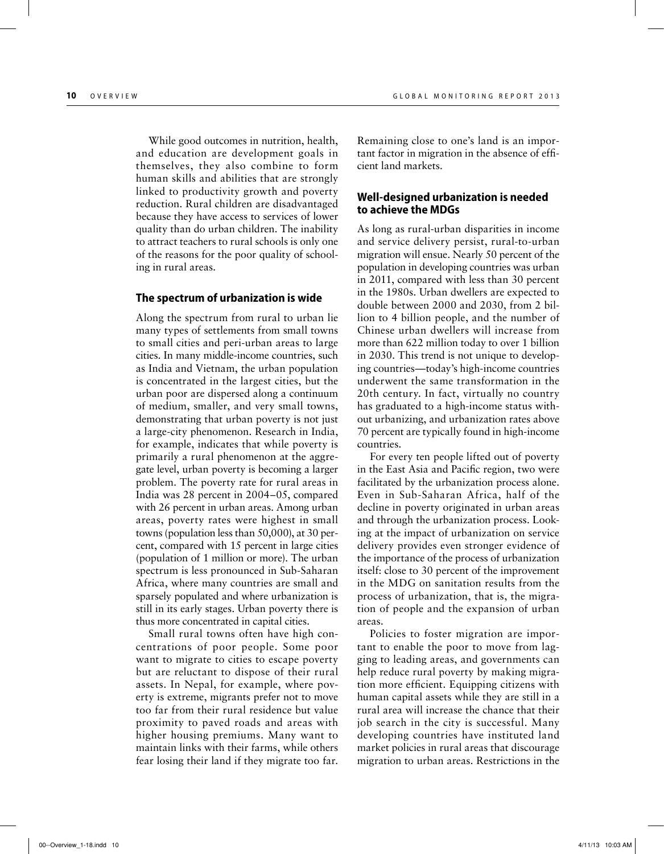While good outcomes in nutrition, health, and education are development goals in themselves, they also combine to form human skills and abilities that are strongly linked to productivity growth and poverty reduction. Rural children are disadvantaged because they have access to services of lower quality than do urban children. The inability to attract teachers to rural schools is only one of the reasons for the poor quality of schooling in rural areas.

#### **The spectrum of urbanization is wide**

Along the spectrum from rural to urban lie many types of settlements from small towns to small cities and peri-urban areas to large cities. In many middle-income countries, such as India and Vietnam, the urban population is concentrated in the largest cities, but the urban poor are dispersed along a continuum of medium, smaller, and very small towns, demonstrating that urban poverty is not just a large-city phenomenon. Research in India, for example, indicates that while poverty is primarily a rural phenomenon at the aggregate level, urban poverty is becoming a larger problem. The poverty rate for rural areas in India was 28 percent in 2004–05, compared with 26 percent in urban areas. Among urban areas, poverty rates were highest in small towns (population less than 50,000), at 30 percent, compared with 15 percent in large cities (population of 1 million or more). The urban spectrum is less pronounced in Sub-Saharan Africa, where many countries are small and sparsely populated and where urbanization is still in its early stages. Urban poverty there is thus more concentrated in capital cities.

Small rural towns often have high concentrations of poor people. Some poor want to migrate to cities to escape poverty but are reluctant to dispose of their rural assets. In Nepal, for example, where poverty is extreme, migrants prefer not to move too far from their rural residence but value proximity to paved roads and areas with higher housing premiums. Many want to maintain links with their farms, while others fear losing their land if they migrate too far. Remaining close to one's land is an important factor in migration in the absence of efficient land markets.

#### **Well-designed urbanization is needed to achieve the MDGs**

As long as rural-urban disparities in income and service delivery persist, rural-to-urban migration will ensue. Nearly 50 percent of the population in developing countries was urban in 2011, compared with less than 30 percent in the 1980s. Urban dwellers are expected to double between 2000 and 2030, from 2 billion to 4 billion people, and the number of Chinese urban dwellers will increase from more than 622 million today to over 1 billion in 2030. This trend is not unique to developing countries—today's high-income countries underwent the same transformation in the 20th century. In fact, virtually no country has graduated to a high-income status without urbanizing, and urbanization rates above 70 percent are typically found in high-income countries.

For every ten people lifted out of poverty in the East Asia and Pacific region, two were facilitated by the urbanization process alone. Even in Sub-Saharan Africa, half of the decline in poverty originated in urban areas and through the urbanization process. Looking at the impact of urbanization on service delivery provides even stronger evidence of the importance of the process of urbanization itself: close to 30 percent of the improvement in the MDG on sanitation results from the process of urbanization, that is, the migration of people and the expansion of urban areas.

Policies to foster migration are important to enable the poor to move from lagging to leading areas, and governments can help reduce rural poverty by making migration more efficient. Equipping citizens with human capital assets while they are still in a rural area will increase the chance that their job search in the city is successful. Many developing countries have instituted land market policies in rural areas that discourage migration to urban areas. Restrictions in the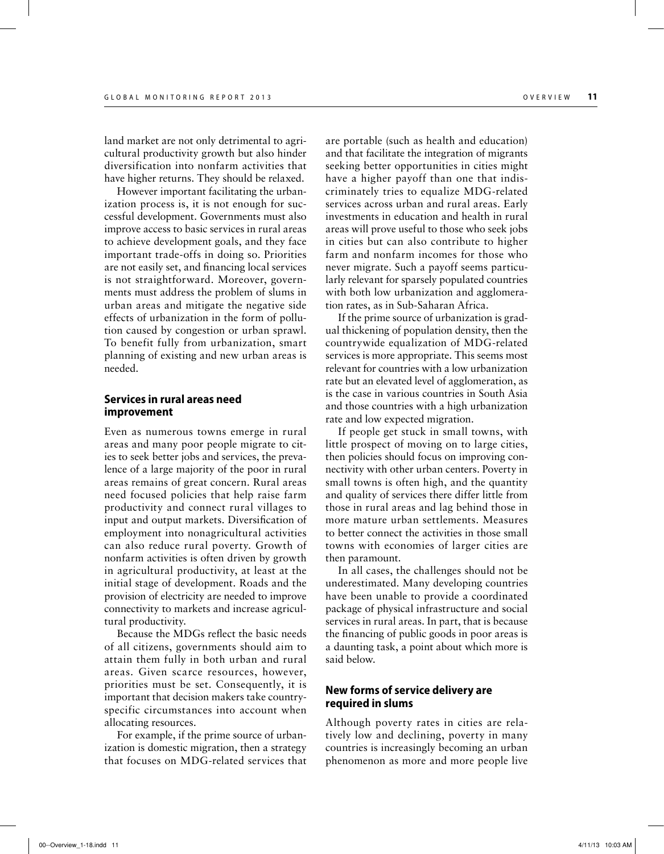land market are not only detrimental to agricultural productivity growth but also hinder diversification into nonfarm activities that have higher returns. They should be relaxed.

However important facilitating the urbanization process is, it is not enough for successful development. Governments must also improve access to basic services in rural areas to achieve development goals, and they face important trade-offs in doing so. Priorities are not easily set, and financing local services is not straightforward. Moreover, governments must address the problem of slums in urban areas and mitigate the negative side effects of urbanization in the form of pollution caused by congestion or urban sprawl. To benefit fully from urbanization, smart planning of existing and new urban areas is needed.

#### **Services in rural areas need improvement**

Even as numerous towns emerge in rural areas and many poor people migrate to cities to seek better jobs and services, the prevalence of a large majority of the poor in rural areas remains of great concern. Rural areas need focused policies that help raise farm productivity and connect rural villages to input and output markets. Diversification of employment into nonagricultural activities can also reduce rural poverty. Growth of nonfarm activities is often driven by growth in agricultural productivity, at least at the initial stage of development. Roads and the provision of electricity are needed to improve connectivity to markets and increase agricultural productivity.

Because the MDGs reflect the basic needs of all citizens, governments should aim to attain them fully in both urban and rural areas. Given scarce resources, however, priorities must be set. Consequently, it is important that decision makers take countryspecific circumstances into account when allocating resources.

For example, if the prime source of urbanization is domestic migration, then a strategy that focuses on MDG-related services that are portable (such as health and education) and that facilitate the integration of migrants seeking better opportunities in cities might have a higher payoff than one that indiscriminately tries to equalize MDG-related services across urban and rural areas. Early investments in education and health in rural areas will prove useful to those who seek jobs in cities but can also contribute to higher farm and nonfarm incomes for those who never migrate. Such a payoff seems particularly relevant for sparsely populated countries with both low urbanization and agglomeration rates, as in Sub-Saharan Africa.

If the prime source of urbanization is gradual thickening of population density, then the countrywide equalization of MDG-related services is more appropriate. This seems most relevant for countries with a low urbanization rate but an elevated level of agglomeration, as is the case in various countries in South Asia and those countries with a high urbanization rate and low expected migration.

If people get stuck in small towns, with little prospect of moving on to large cities, then policies should focus on improving connectivity with other urban centers. Poverty in small towns is often high, and the quantity and quality of services there differ little from those in rural areas and lag behind those in more mature urban settlements. Measures to better connect the activities in those small towns with economies of larger cities are then paramount.

In all cases, the challenges should not be underestimated. Many developing countries have been unable to provide a coordinated package of physical infrastructure and social services in rural areas. In part, that is because the financing of public goods in poor areas is a daunting task, a point about which more is said below.

#### **New forms of service delivery are required in slums**

Although poverty rates in cities are relatively low and declining, poverty in many countries is increasingly becoming an urban phenomenon as more and more people live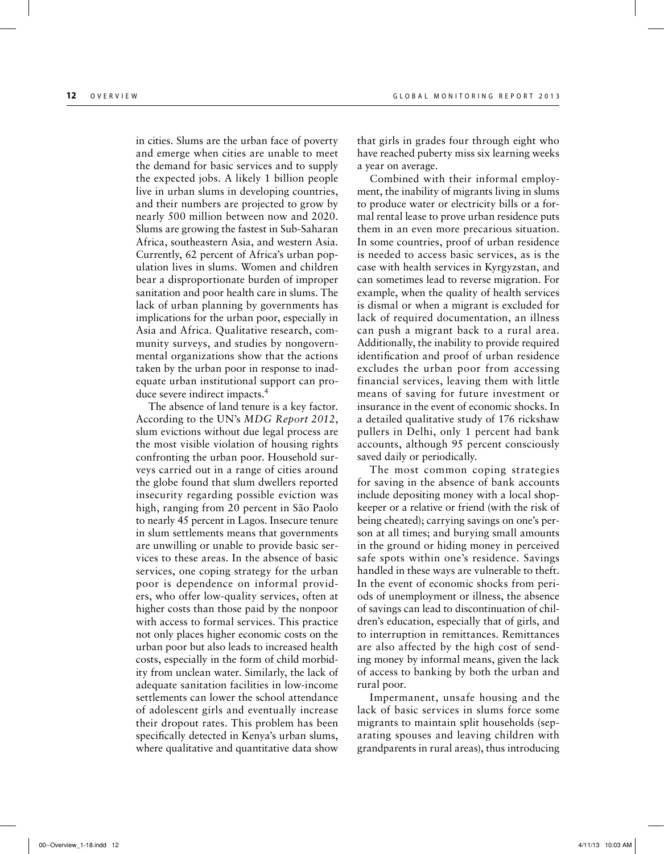in cities. Slums are the urban face of poverty and emerge when cities are unable to meet the demand for basic services and to supply the expected jobs. A likely 1 billion people live in urban slums in developing countries, and their numbers are projected to grow by nearly 500 million between now and 2020. Slums are growing the fastest in Sub-Saharan Africa, southeastern Asia, and western Asia. Currently, 62 percent of Africa's urban population lives in slums. Women and children bear a disproportionate burden of improper sanitation and poor health care in slums. The lack of urban planning by governments has implications for the urban poor, especially in Asia and Africa. Qualitative research, community surveys, and studies by nongovernmental organizations show that the actions taken by the urban poor in response to inadequate urban institutional support can produce severe indirect impacts.<sup>4</sup>

The absence of land tenure is a key factor. According to the UN's *MDG Report 2012*, slum evictions without due legal process are the most visible violation of housing rights confronting the urban poor. Household surveys carried out in a range of cities around the globe found that slum dwellers reported insecurity regarding possible eviction was high, ranging from 20 percent in São Paolo to nearly 45 percent in Lagos. Insecure tenure in slum settlements means that governments are unwilling or unable to provide basic services to these areas. In the absence of basic services, one coping strategy for the urban poor is dependence on informal providers, who offer low-quality services, often at higher costs than those paid by the nonpoor with access to formal services. This practice not only places higher economic costs on the urban poor but also leads to increased health costs, especially in the form of child morbidity from unclean water. Similarly, the lack of adequate sanitation facilities in low-income settlements can lower the school attendance of adolescent girls and eventually increase their dropout rates. This problem has been specifically detected in Kenya's urban slums, where qualitative and quantitative data show that girls in grades four through eight who have reached puberty miss six learning weeks a year on average.

Combined with their informal employment, the inability of migrants living in slums to produce water or electricity bills or a formal rental lease to prove urban residence puts them in an even more precarious situation. In some countries, proof of urban residence is needed to access basic services, as is the case with health services in Kyrgyzstan, and can sometimes lead to reverse migration. For example, when the quality of health services is dismal or when a migrant is excluded for lack of required documentation, an illness can push a migrant back to a rural area. Additionally, the inability to provide required identification and proof of urban residence excludes the urban poor from accessing financial services, leaving them with little means of saving for future investment or insurance in the event of economic shocks. In a detailed qualitative study of 176 rickshaw pullers in Delhi, only 1 percent had bank accounts, although 95 percent consciously saved daily or periodically.

The most common coping strategies for saving in the absence of bank accounts include depositing money with a local shopkeeper or a relative or friend (with the risk of being cheated); carrying savings on one's person at all times; and burying small amounts in the ground or hiding money in perceived safe spots within one's residence. Savings handled in these ways are vulnerable to theft. In the event of economic shocks from periods of unemployment or illness, the absence of savings can lead to discontinuation of children's education, especially that of girls, and to interruption in remittances. Remittances are also affected by the high cost of sending money by informal means, given the lack of access to banking by both the urban and rural poor.

Impermanent, unsafe housing and the lack of basic services in slums force some migrants to maintain split households (separating spouses and leaving children with grandparents in rural areas), thus introducing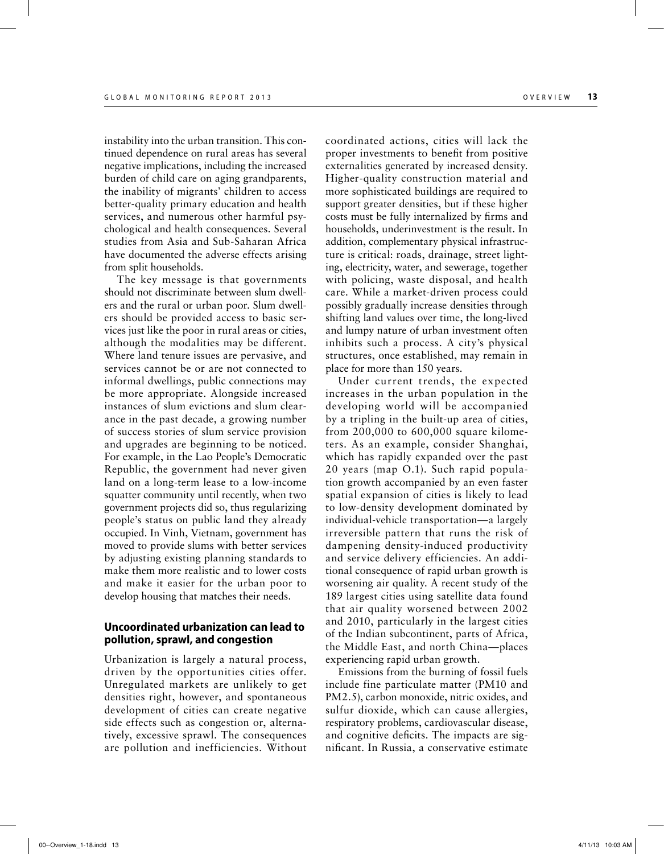instability into the urban transition. This continued dependence on rural areas has several negative implications, including the increased burden of child care on aging grandparents, the inability of migrants' children to access better-quality primary education and health services, and numerous other harmful psychological and health consequences. Several studies from Asia and Sub-Saharan Africa have documented the adverse effects arising from split households.

The key message is that governments should not discriminate between slum dwellers and the rural or urban poor. Slum dwellers should be provided access to basic services just like the poor in rural areas or cities, although the modalities may be different. Where land tenure issues are pervasive, and services cannot be or are not connected to informal dwellings, public connections may be more appropriate. Alongside increased instances of slum evictions and slum clearance in the past decade, a growing number of success stories of slum service provision and upgrades are beginning to be noticed. For example, in the Lao People's Democratic Republic, the government had never given land on a long-term lease to a low-income squatter community until recently, when two government projects did so, thus regularizing people's status on public land they already occupied. In Vinh, Vietnam, government has moved to provide slums with better services by adjusting existing planning standards to make them more realistic and to lower costs and make it easier for the urban poor to develop housing that matches their needs.

#### **Uncoordinated urbanization can lead to pollution, sprawl, and congestion**

Urbanization is largely a natural process, driven by the opportunities cities offer. Unregulated markets are unlikely to get densities right, however, and spontaneous development of cities can create negative side effects such as congestion or, alternatively, excessive sprawl. The consequences are pollution and inefficiencies. Without coordinated actions, cities will lack the proper investments to benefit from positive externalities generated by increased density. Higher-quality construction material and more sophisticated buildings are required to support greater densities, but if these higher costs must be fully internalized by firms and households, underinvestment is the result. In addition, complementary physical infrastructure is critical: roads, drainage, street lighting, electricity, water, and sewerage, together with policing, waste disposal, and health care. While a market-driven process could possibly gradually increase densities through shifting land values over time, the long-lived and lumpy nature of urban investment often inhibits such a process. A city's physical structures, once established, may remain in place for more than 150 years.

Under current trends, the expected increases in the urban population in the developing world will be accompanied by a tripling in the built-up area of cities, from 200,000 to 600,000 square kilometers. As an example, consider Shanghai, which has rapidly expanded over the past 20 years (map O.1). Such rapid population growth accompanied by an even faster spatial expansion of cities is likely to lead to low-density development dominated by individual-vehicle transportation—a largely irreversible pattern that runs the risk of dampening density-induced productivity and service delivery efficiencies. An additional consequence of rapid urban growth is worsening air quality. A recent study of the 189 largest cities using satellite data found that air quality worsened between 2002 and 2010, particularly in the largest cities of the Indian subcontinent, parts of Africa, the Middle East, and north China—places experiencing rapid urban growth.

Emissions from the burning of fossil fuels include fine particulate matter (PM10 and PM2.5), carbon monoxide, nitric oxides, and sulfur dioxide, which can cause allergies, respiratory problems, cardiovascular disease, and cognitive deficits. The impacts are significant. In Russia, a conservative estimate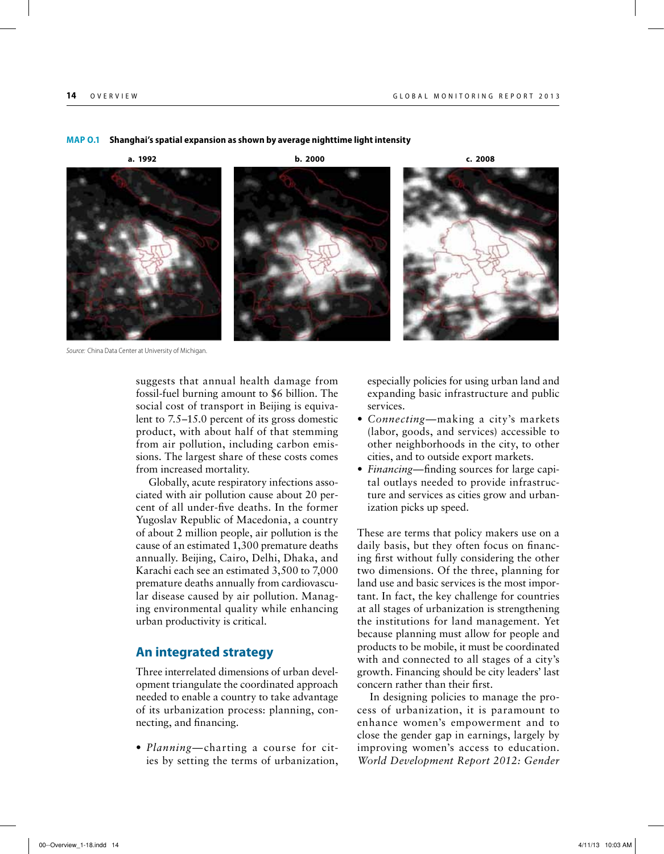#### **Map O.1 Shanghai's spatial expansion as shown by average nighttime light intensity**

*Source:* China Data Center at University of Michigan.

suggests that annual health damage from fossil-fuel burning amount to \$6 billion. The social cost of transport in Beijing is equivalent to 7.5–15.0 percent of its gross domestic product, with about half of that stemming from air pollution, including carbon emissions. The largest share of these costs comes from increased mortality.

Globally, acute respiratory infections associated with air pollution cause about 20 percent of all under-five deaths. In the former Yugoslav Republic of Macedonia, a country of about 2 million people, air pollution is the cause of an estimated 1,300 premature deaths annually. Beijing, Cairo, Delhi, Dhaka, and Karachi each see an estimated 3,500 to 7,000 premature deaths annually from cardiovascular disease caused by air pollution. Managing environmental quality while enhancing urban productivity is critical.

#### **An integrated strategy**

Three interrelated dimensions of urban development triangulate the coordinated approach needed to enable a country to take advantage of its urbanization process: planning, connecting, and financing.

• *Planning—*charting a course for cities by setting the terms of urbanization, especially policies for using urban land and expanding basic infrastructure and public services.

- *Connecting—*making a city's markets (labor, goods, and services) accessible to other neighborhoods in the city, to other cities, and to outside export markets.
- *Financing—*finding sources for large capital outlays needed to provide infrastructure and services as cities grow and urbanization picks up speed.

These are terms that policy makers use on a daily basis, but they often focus on financing first without fully considering the other two dimensions. Of the three, planning for land use and basic services is the most important. In fact, the key challenge for countries at all stages of urbanization is strengthening the institutions for land management. Yet because planning must allow for people and products to be mobile, it must be coordinated with and connected to all stages of a city's growth. Financing should be city leaders' last concern rather than their first.

In designing policies to manage the process of urbanization, it is paramount to enhance women's empowerment and to close the gender gap in earnings, largely by improving women's access to education. *World Development Report 2012: Gender* 



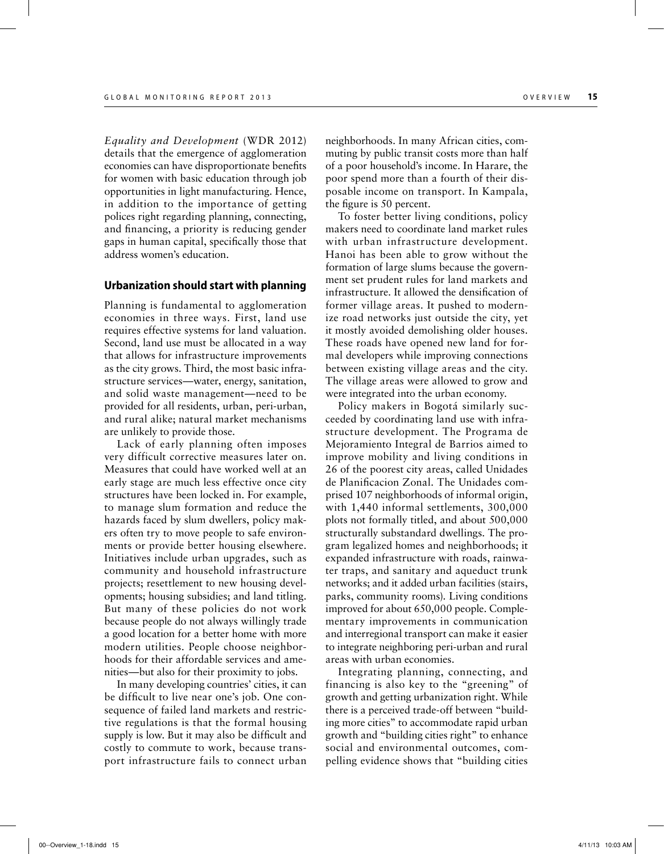*Equality and Development* (WDR 2012) details that the emergence of agglomeration economies can have disproportionate benefits for women with basic education through job opportunities in light manufacturing. Hence, in addition to the importance of getting polices right regarding planning, connecting, and financing, a priority is reducing gender gaps in human capital, specifically those that address women's education.

#### **Urbanization should start with planning**

Planning is fundamental to agglomeration economies in three ways. First, land use requires effective systems for land valuation. Second, land use must be allocated in a way that allows for infrastructure improvements as the city grows. Third, the most basic infrastructure services—water, energy, sanitation, and solid waste management—need to be provided for all residents, urban, peri-urban, and rural alike; natural market mechanisms are unlikely to provide those.

Lack of early planning often imposes very difficult corrective measures later on. Measures that could have worked well at an early stage are much less effective once city structures have been locked in. For example, to manage slum formation and reduce the hazards faced by slum dwellers, policy makers often try to move people to safe environments or provide better housing elsewhere. Initiatives include urban upgrades, such as community and household infrastructure projects; resettlement to new housing developments; housing subsidies; and land titling. But many of these policies do not work because people do not always willingly trade a good location for a better home with more modern utilities. People choose neighborhoods for their affordable services and amenities—but also for their proximity to jobs.

In many developing countries' cities, it can be difficult to live near one's job. One consequence of failed land markets and restrictive regulations is that the formal housing supply is low. But it may also be difficult and costly to commute to work, because transport infrastructure fails to connect urban neighborhoods. In many African cities, commuting by public transit costs more than half of a poor household's income. In Harare, the poor spend more than a fourth of their disposable income on transport. In Kampala, the figure is 50 percent.

To foster better living conditions, policy makers need to coordinate land market rules with urban infrastructure development. Hanoi has been able to grow without the formation of large slums because the government set prudent rules for land markets and infrastructure. It allowed the densification of former village areas. It pushed to modernize road networks just outside the city, yet it mostly avoided demolishing older houses. These roads have opened new land for formal developers while improving connections between existing village areas and the city. The village areas were allowed to grow and were integrated into the urban economy.

Policy makers in Bogotá similarly succeeded by coordinating land use with infrastructure development. The Programa de Mejoramiento Integral de Barrios aimed to improve mobility and living conditions in 26 of the poorest city areas, called Unidades de Planificacion Zonal. The Unidades comprised 107 neighborhoods of informal origin, with 1,440 informal settlements, 300,000 plots not formally titled, and about 500,000 structurally substandard dwellings. The program legalized homes and neighborhoods; it expanded infrastructure with roads, rainwater traps, and sanitary and aqueduct trunk networks; and it added urban facilities (stairs, parks, community rooms). Living conditions improved for about 650,000 people. Complementary improvements in communication and interregional transport can make it easier to integrate neighboring peri-urban and rural areas with urban economies.

Integrating planning, connecting, and financing is also key to the "greening" of growth and getting urbanization right. While there is a perceived trade-off between "building more cities" to accommodate rapid urban growth and "building cities right" to enhance social and environmental outcomes, compelling evidence shows that "building cities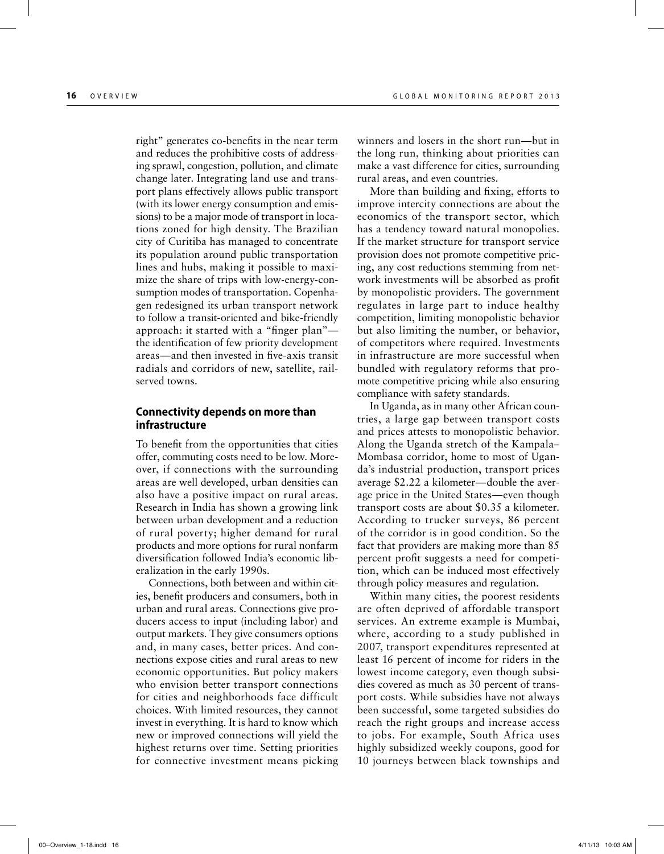right" generates co-benefits in the near term and reduces the prohibitive costs of addressing sprawl, congestion, pollution, and climate change later. Integrating land use and transport plans effectively allows public transport (with its lower energy consumption and emissions) to be a major mode of transport in locations zoned for high density. The Brazilian city of Curitiba has managed to concentrate its population around public transportation lines and hubs, making it possible to maximize the share of trips with low-energy-consumption modes of transportation. Copenhagen redesigned its urban transport network to follow a transit-oriented and bike-friendly approach: it started with a "finger plan" the identification of few priority development areas—and then invested in five-axis transit radials and corridors of new, satellite, railserved towns.

#### **Connectivity depends on more than infrastructure**

To benefit from the opportunities that cities offer, commuting costs need to be low. Moreover, if connections with the surrounding areas are well developed, urban densities can also have a positive impact on rural areas. Research in India has shown a growing link between urban development and a reduction of rural poverty; higher demand for rural products and more options for rural nonfarm diversification followed India's economic liberalization in the early 1990s.

Connections, both between and within cities, benefit producers and consumers, both in urban and rural areas. Connections give producers access to input (including labor) and output markets. They give consumers options and, in many cases, better prices. And connections expose cities and rural areas to new economic opportunities. But policy makers who envision better transport connections for cities and neighborhoods face difficult choices. With limited resources, they cannot invest in everything. It is hard to know which new or improved connections will yield the highest returns over time. Setting priorities for connective investment means picking winners and losers in the short run—but in the long run, thinking about priorities can make a vast difference for cities, surrounding rural areas, and even countries.

More than building and fixing, efforts to improve intercity connections are about the economics of the transport sector, which has a tendency toward natural monopolies. If the market structure for transport service provision does not promote competitive pricing, any cost reductions stemming from network investments will be absorbed as profit by monopolistic providers. The government regulates in large part to induce healthy competition, limiting monopolistic behavior but also limiting the number, or behavior, of competitors where required. Investments in infrastructure are more successful when bundled with regulatory reforms that promote competitive pricing while also ensuring compliance with safety standards.

In Uganda, as in many other African countries, a large gap between transport costs and prices attests to monopolistic behavior. Along the Uganda stretch of the Kampala– Mombasa corridor, home to most of Uganda's industrial production, transport prices average \$2.22 a kilometer—double the average price in the United States—even though transport costs are about \$0.35 a kilometer. According to trucker surveys, 86 percent of the corridor is in good condition. So the fact that providers are making more than 85 percent profit suggests a need for competition, which can be induced most effectively through policy measures and regulation.

Within many cities, the poorest residents are often deprived of affordable transport services. An extreme example is Mumbai, where, according to a study published in 2007, transport expenditures represented at least 16 percent of income for riders in the lowest income category, even though subsidies covered as much as 30 percent of transport costs. While subsidies have not always been successful, some targeted subsidies do reach the right groups and increase access to jobs. For example, South Africa uses highly subsidized weekly coupons, good for 10 journeys between black townships and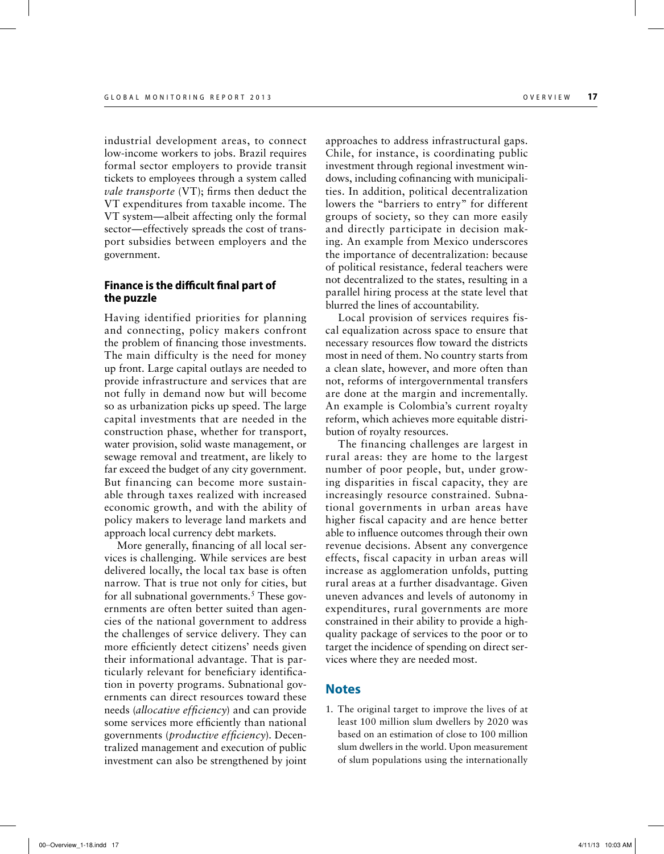industrial development areas, to connect low-income workers to jobs. Brazil requires formal sector employers to provide transit tickets to employees through a system called *vale transporte* (VT); firms then deduct the VT expenditures from taxable income. The VT system—albeit affecting only the formal sector—effectively spreads the cost of transport subsidies between employers and the government.

#### **Finance is the difficult final part of the puzzle**

Having identified priorities for planning and connecting, policy makers confront the problem of financing those investments. The main difficulty is the need for money up front. Large capital outlays are needed to provide infrastructure and services that are not fully in demand now but will become so as urbanization picks up speed. The large capital investments that are needed in the construction phase, whether for transport, water provision, solid waste management, or sewage removal and treatment, are likely to far exceed the budget of any city government. But financing can become more sustainable through taxes realized with increased economic growth, and with the ability of policy makers to leverage land markets and approach local currency debt markets.

More generally, financing of all local services is challenging. While services are best delivered locally, the local tax base is often narrow. That is true not only for cities, but for all subnational governments.<sup>5</sup> These governments are often better suited than agencies of the national government to address the challenges of service delivery. They can more efficiently detect citizens' needs given their informational advantage. That is particularly relevant for beneficiary identification in poverty programs. Subnational governments can direct resources toward these needs (*allocative efficiency*) and can provide some services more efficiently than national governments (*productive efficiency*). Decentralized management and execution of public investment can also be strengthened by joint approaches to address infrastructural gaps. Chile, for instance, is coordinating public investment through regional investment windows, including cofinancing with municipalities. In addition, political decentralization lowers the "barriers to entry" for different groups of society, so they can more easily and directly participate in decision making. An example from Mexico underscores the importance of decentralization: because of political resistance, federal teachers were not decentralized to the states, resulting in a parallel hiring process at the state level that blurred the lines of accountability.

Local provision of services requires fiscal equalization across space to ensure that necessary resources flow toward the districts most in need of them. No country starts from a clean slate, however, and more often than not, reforms of intergovernmental transfers are done at the margin and incrementally. An example is Colombia's current royalty reform, which achieves more equitable distribution of royalty resources.

The financing challenges are largest in rural areas: they are home to the largest number of poor people, but, under growing disparities in fiscal capacity, they are increasingly resource constrained. Subnational governments in urban areas have higher fiscal capacity and are hence better able to influence outcomes through their own revenue decisions. Absent any convergence effects, fiscal capacity in urban areas will increase as agglomeration unfolds, putting rural areas at a further disadvantage. Given uneven advances and levels of autonomy in expenditures, rural governments are more constrained in their ability to provide a highquality package of services to the poor or to target the incidence of spending on direct services where they are needed most.

#### **Notes**

1. The original target to improve the lives of at least 100 million slum dwellers by 2020 was based on an estimation of close to 100 million slum dwellers in the world. Upon measurement of slum populations using the internationally